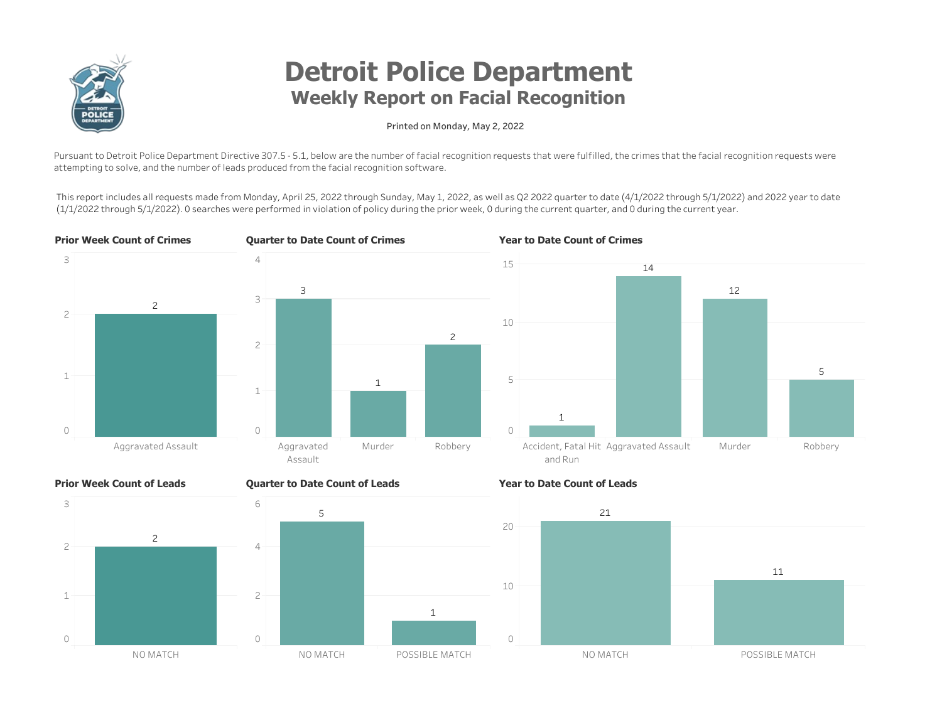

# **Detroit Police Department** Weekly Report on Facial Recognition

#### Printed on Monday, May 2, 2022

Pursuant to Detroit Police Department Directive 307.5 - 5.1, below are the number of facial recognition requests that were fulfilled, the crimes that the facial recognition requests were attempting to solve, and the number of leads produced from the facial recognition software.

This report includes all requests made from Monday, April 25, 2022 through Sunday, May 1, 2022, as well as Q2 2022 quarter to date (4/1/2022 through 5/1/2022) and 2022 year to date (1/1/2022 through 5/1/2022). 0 searches were performed in violation of policy during the prior week, 0 during the current quarter, and 0 during the current year.







#### **Prior Week Count of Leads**



### Quarter to Date Count of Leads



#### Year to Date Count of Leads